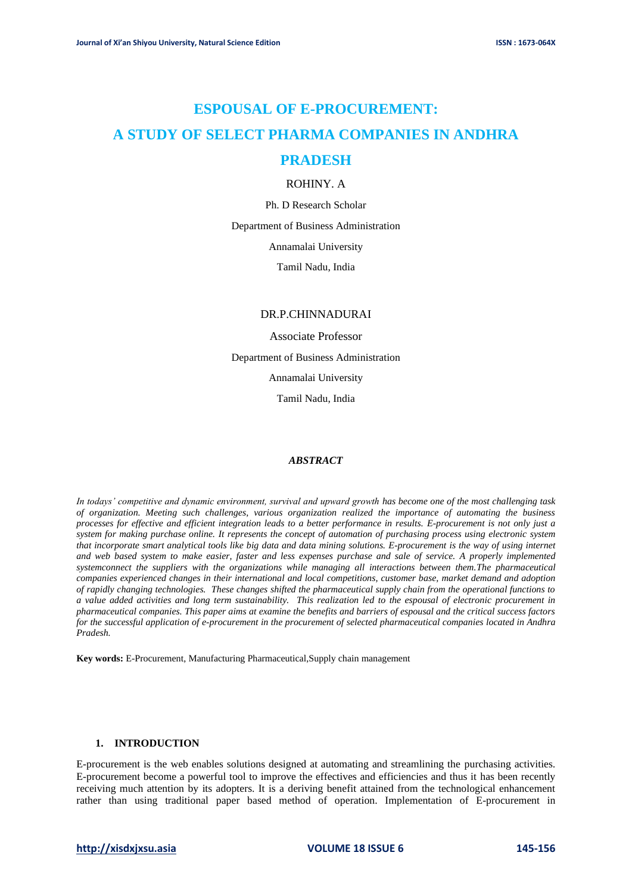# **ESPOUSAL OF E-PROCUREMENT: A STUDY OF SELECT PHARMA COMPANIES IN ANDHRA PRADESH**

# ROHINY. A

Ph. D Research Scholar

Department of Business Administration

Annamalai University

Tamil Nadu, India

# DR.P.CHINNADURAI

Associate Professor Department of Business Administration Annamalai University Tamil Nadu, India

# *ABSTRACT*

*In todays' competitive and dynamic environment, survival and upward growth has become one of the most challenging task of organization. Meeting such challenges, various organization realized the importance of automating the business processes for effective and efficient integration leads to a better performance in results. E-procurement is not only just a system for making purchase online. It represents the concept of automation of purchasing process using electronic system that incorporate smart analytical tools like big data and data mining solutions. E-procurement is the way of using internet and web based system to make easier, faster and less expenses purchase and sale of service. A properly implemented systemconnect the suppliers with the organizations while managing all interactions between them.The pharmaceutical companies experienced changes in their international and local competitions, customer base, market demand and adoption of rapidly changing technologies. These changes shifted the pharmaceutical supply chain from the operational functions to a value added activities and long term sustainability. This realization led to the espousal of electronic procurement in pharmaceutical companies. This paper aims at examine the benefits and barriers of espousal and the critical success factors for the successful application of e-procurement in the procurement of selected pharmaceutical companies located in Andhra Pradesh.*

**Key words:** E-Procurement, Manufacturing Pharmaceutical,Supply chain management

# **1. INTRODUCTION**

E-procurement is the web enables solutions designed at automating and streamlining the purchasing activities. E-procurement become a powerful tool to improve the effectives and efficiencies and thus it has been recently receiving much attention by its adopters. It is a deriving benefit attained from the technological enhancement rather than using traditional paper based method of operation. Implementation of E-procurement in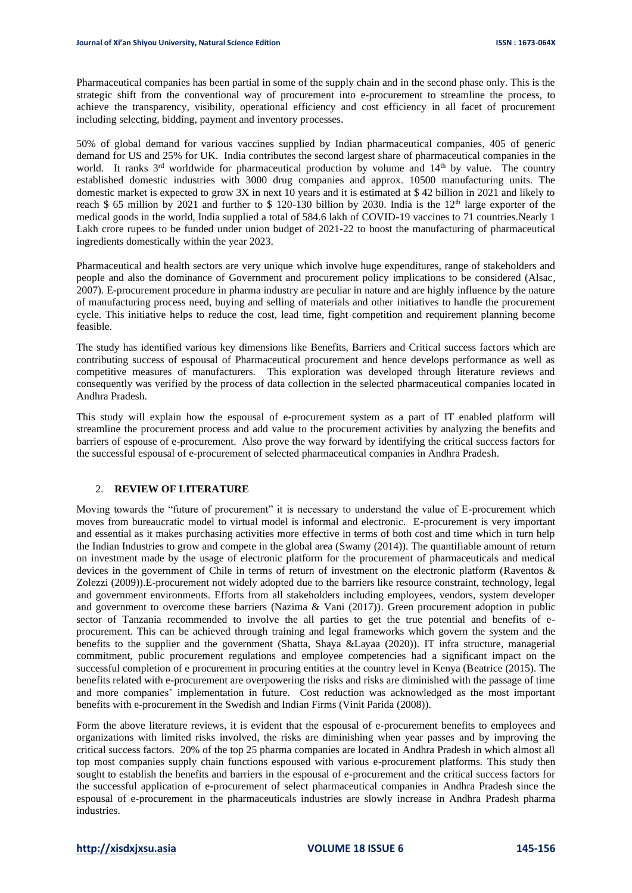Pharmaceutical companies has been partial in some of the supply chain and in the second phase only. This is the strategic shift from the conventional way of procurement into e-procurement to streamline the process, to achieve the transparency, visibility, operational efficiency and cost efficiency in all facet of procurement including selecting, bidding, payment and inventory processes.

50% of global demand for various vaccines supplied by Indian pharmaceutical companies, 405 of generic demand for US and 25% for UK. India contributes the second largest share of pharmaceutical companies in the world. It ranks 3<sup>rd</sup> worldwide for pharmaceutical production by volume and 14<sup>th</sup> by value. The country established domestic industries with 3000 drug companies and approx. 10500 manufacturing units. The domestic market is expected to grow 3X in next 10 years and it is estimated at \$ 42 billion in 2021 and likely to reach \$ 65 million by 2021 and further to \$ 120-130 billion by 2030. India is the  $12<sup>th</sup>$  large exporter of the medical goods in the world, India supplied a total of 584.6 lakh of COVID-19 vaccines to 71 countries.Nearly 1 Lakh crore rupees to be funded under union budget of 2021-22 to boost the manufacturing of pharmaceutical ingredients domestically within the year 2023.

Pharmaceutical and health sectors are very unique which involve huge expenditures, range of stakeholders and people and also the dominance of Government and procurement policy implications to be considered (Alsac, 2007). E-procurement procedure in pharma industry are peculiar in nature and are highly influence by the nature of manufacturing process need, buying and selling of materials and other initiatives to handle the procurement cycle. This initiative helps to reduce the cost, lead time, fight competition and requirement planning become feasible.

The study has identified various key dimensions like Benefits, Barriers and Critical success factors which are contributing success of espousal of Pharmaceutical procurement and hence develops performance as well as competitive measures of manufacturers. This exploration was developed through literature reviews and consequently was verified by the process of data collection in the selected pharmaceutical companies located in Andhra Pradesh.

This study will explain how the espousal of e-procurement system as a part of IT enabled platform will streamline the procurement process and add value to the procurement activities by analyzing the benefits and barriers of espouse of e-procurement. Also prove the way forward by identifying the critical success factors for the successful espousal of e-procurement of selected pharmaceutical companies in Andhra Pradesh.

#### 2. **REVIEW OF LITERATURE**

Moving towards the "future of procurement" it is necessary to understand the value of E-procurement which moves from bureaucratic model to virtual model is informal and electronic. E-procurement is very important and essential as it makes purchasing activities more effective in terms of both cost and time which in turn help the Indian Industries to grow and compete in the global area (Swamy (2014)). The quantifiable amount of return on investment made by the usage of electronic platform for the procurement of pharmaceuticals and medical devices in the government of Chile in terms of return of investment on the electronic platform (Raventos & Zolezzi (2009)).E-procurement not widely adopted due to the barriers like resource constraint, technology, legal and government environments. Efforts from all stakeholders including employees, vendors, system developer and government to overcome these barriers (Nazima & Vani (2017)). Green procurement adoption in public sector of Tanzania recommended to involve the all parties to get the true potential and benefits of eprocurement. This can be achieved through training and legal frameworks which govern the system and the benefits to the supplier and the government (Shatta, Shaya &Layaa (2020)). IT infra structure, managerial commitment, public procurement regulations and employee competencies had a significant impact on the successful completion of e procurement in procuring entities at the country level in Kenya (Beatrice (2015). The benefits related with e-procurement are overpowering the risks and risks are diminished with the passage of time and more companies' implementation in future. Cost reduction was acknowledged as the most important benefits with e-procurement in the Swedish and Indian Firms (Vinit Parida (2008)).

Form the above literature reviews, it is evident that the espousal of e-procurement benefits to employees and organizations with limited risks involved, the risks are diminishing when year passes and by improving the critical success factors. 20% of the top 25 pharma companies are located in Andhra Pradesh in which almost all top most companies supply chain functions espoused with various e-procurement platforms. This study then sought to establish the benefits and barriers in the espousal of e-procurement and the critical success factors for the successful application of e-procurement of select pharmaceutical companies in Andhra Pradesh since the espousal of e-procurement in the pharmaceuticals industries are slowly increase in Andhra Pradesh pharma industries.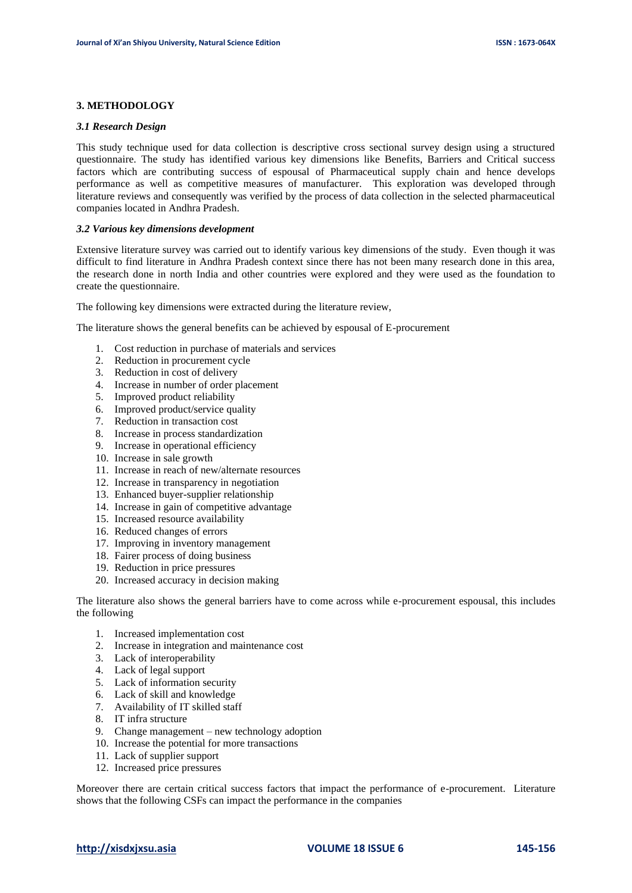#### **3. METHODOLOGY**

#### *3.1 Research Design*

This study technique used for data collection is descriptive cross sectional survey design using a structured questionnaire. The study has identified various key dimensions like Benefits, Barriers and Critical success factors which are contributing success of espousal of Pharmaceutical supply chain and hence develops performance as well as competitive measures of manufacturer. This exploration was developed through literature reviews and consequently was verified by the process of data collection in the selected pharmaceutical companies located in Andhra Pradesh.

#### *3.2 Various key dimensions development*

Extensive literature survey was carried out to identify various key dimensions of the study. Even though it was difficult to find literature in Andhra Pradesh context since there has not been many research done in this area, the research done in north India and other countries were explored and they were used as the foundation to create the questionnaire.

The following key dimensions were extracted during the literature review,

The literature shows the general benefits can be achieved by espousal of E-procurement

- 1. Cost reduction in purchase of materials and services
- 2. Reduction in procurement cycle
- 3. Reduction in cost of delivery
- 4. Increase in number of order placement
- 5. Improved product reliability
- 6. Improved product/service quality
- 7. Reduction in transaction cost
- 8. Increase in process standardization
- 9. Increase in operational efficiency
- 10. Increase in sale growth
- 11. Increase in reach of new/alternate resources
- 12. Increase in transparency in negotiation
- 13. Enhanced buyer-supplier relationship
- 14. Increase in gain of competitive advantage
- 15. Increased resource availability
- 16. Reduced changes of errors
- 17. Improving in inventory management
- 18. Fairer process of doing business
- 19. Reduction in price pressures
- 20. Increased accuracy in decision making

The literature also shows the general barriers have to come across while e-procurement espousal, this includes the following

- 1. Increased implementation cost
- 2. Increase in integration and maintenance cost
- 3. Lack of interoperability
- 4. Lack of legal support
- 5. Lack of information security
- 6. Lack of skill and knowledge
- 7. Availability of IT skilled staff
- 8. IT infra structure
- 9. Change management new technology adoption
- 10. Increase the potential for more transactions
- 11. Lack of supplier support
- 12. Increased price pressures

Moreover there are certain critical success factors that impact the performance of e-procurement. Literature shows that the following CSFs can impact the performance in the companies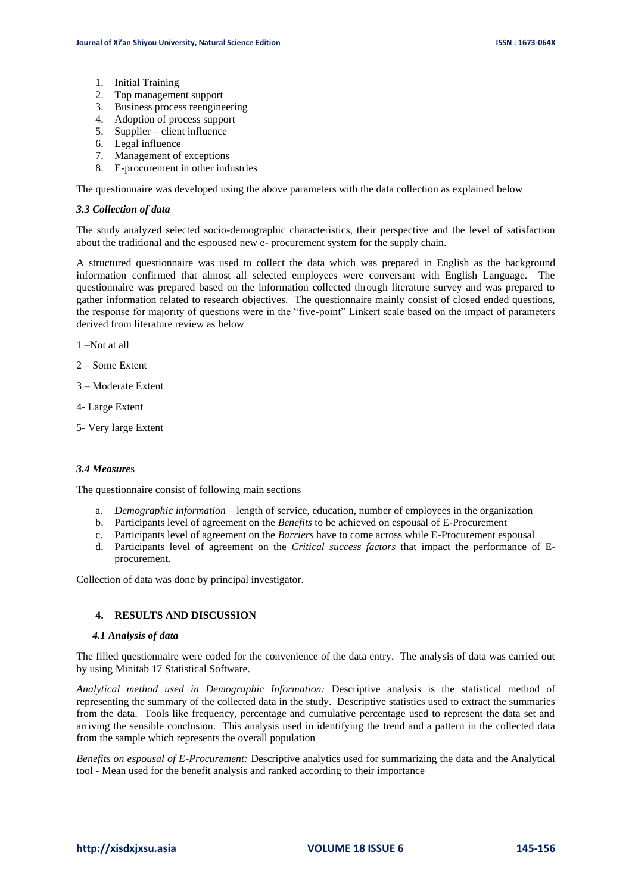- 1. Initial Training
- 2. Top management support
- 3. Business process reengineering
- 4. Adoption of process support
- 5. Supplier client influence
- 6. Legal influence
- 7. Management of exceptions
- 8. E-procurement in other industries

The questionnaire was developed using the above parameters with the data collection as explained below

#### *3.3 Collection of data*

The study analyzed selected socio-demographic characteristics, their perspective and the level of satisfaction about the traditional and the espoused new e- procurement system for the supply chain.

A structured questionnaire was used to collect the data which was prepared in English as the background information confirmed that almost all selected employees were conversant with English Language. The questionnaire was prepared based on the information collected through literature survey and was prepared to gather information related to research objectives. The questionnaire mainly consist of closed ended questions, the response for majority of questions were in the "five-point" Linkert scale based on the impact of parameters derived from literature review as below

1 –Not at all

- 2 Some Extent
- 3 Moderate Extent
- 4- Large Extent
- 5- Very large Extent

#### *3.4 Measure*s

The questionnaire consist of following main sections

- a. *Demographic information*  length of service, education, number of employees in the organization
- b. Participants level of agreement on the *Benefits* to be achieved on espousal of E-Procurement
- c. Participants level of agreement on the *Barriers* have to come across while E-Procurement espousal
- d. Participants level of agreement on the *Critical success factors* that impact the performance of Eprocurement.

Collection of data was done by principal investigator.

# **4. RESULTS AND DISCUSSION**

#### *4.1 Analysis of data*

The filled questionnaire were coded for the convenience of the data entry. The analysis of data was carried out by using Minitab 17 Statistical Software.

*Analytical method used in Demographic Information:* Descriptive analysis is the statistical method of representing the summary of the collected data in the study. Descriptive statistics used to extract the summaries from the data. Tools like frequency, percentage and cumulative percentage used to represent the data set and arriving the sensible conclusion. This analysis used in identifying the trend and a pattern in the collected data from the sample which represents the overall population

*Benefits on espousal of E-Procurement:* Descriptive analytics used for summarizing the data and the Analytical tool - Mean used for the benefit analysis and ranked according to their importance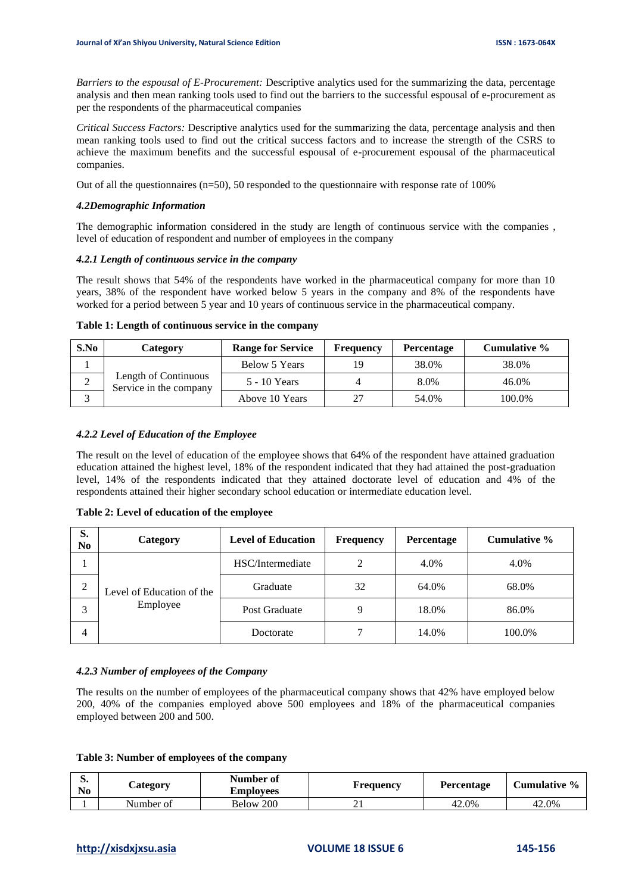*Barriers to the espousal of E-Procurement:* Descriptive analytics used for the summarizing the data, percentage analysis and then mean ranking tools used to find out the barriers to the successful espousal of e-procurement as per the respondents of the pharmaceutical companies

*Critical Success Factors:* Descriptive analytics used for the summarizing the data, percentage analysis and then mean ranking tools used to find out the critical success factors and to increase the strength of the CSRS to achieve the maximum benefits and the successful espousal of e-procurement espousal of the pharmaceutical companies.

Out of all the questionnaires ( $n=50$ ), 50 responded to the questionnaire with response rate of 100%

#### *4.2Demographic Information*

The demographic information considered in the study are length of continuous service with the companies , level of education of respondent and number of employees in the company

#### *4.2.1 Length of continuous service in the company*

The result shows that 54% of the respondents have worked in the pharmaceutical company for more than 10 years, 38% of the respondent have worked below 5 years in the company and 8% of the respondents have worked for a period between 5 year and 10 years of continuous service in the pharmaceutical company.

#### **Table 1: Length of continuous service in the company**

| S.No | Category                                       | <b>Range for Service</b> | <b>Frequency</b> | <b>Percentage</b> | Cumulative % |
|------|------------------------------------------------|--------------------------|------------------|-------------------|--------------|
|      |                                                | Below 5 Years            |                  | 38.0%             | 38.0%        |
| ∠    | Length of Continuous<br>Service in the company | 5 - 10 Years             |                  | 8.0%              | 46.0%        |
|      |                                                | Above 10 Years           | າາ               | 54.0%             | 100.0%       |

# *4.2.2 Level of Education of the Employee*

The result on the level of education of the employee shows that 64% of the respondent have attained graduation education attained the highest level, 18% of the respondent indicated that they had attained the post-graduation level, 14% of the respondents indicated that they attained doctorate level of education and 4% of the respondents attained their higher secondary school education or intermediate education level.

#### **Table 2: Level of education of the employee**

| S.<br>N <sub>0</sub> | Category                              | <b>Level of Education</b> | <b>Frequency</b> | Percentage | Cumulative % |
|----------------------|---------------------------------------|---------------------------|------------------|------------|--------------|
|                      |                                       | HSC/Intermediate          | 2                | 4.0%       | 4.0%         |
| C<br>∠               | Level of Education of the<br>Employee | Graduate                  | 32               | 64.0%      | 68.0%        |
| 3                    |                                       | Post Graduate             | 9                | 18.0%      | 86.0%        |
| 4                    |                                       | Doctorate                 |                  | 14.0%      | 100.0%       |

#### *4.2.3 Number of employees of the Company*

The results on the number of employees of the pharmaceutical company shows that 42% have employed below 200, 40% of the companies employed above 500 employees and 18% of the pharmaceutical companies employed between 200 and 500.

|  |  |  |  |  |  |  | Table 3: Number of employees of the company |
|--|--|--|--|--|--|--|---------------------------------------------|
|--|--|--|--|--|--|--|---------------------------------------------|

| IJ.<br>No | $\mathcal{L}$ ategory | Number of<br><b>Employees</b> | Frequency | Percentage | Cumulative % |
|-----------|-----------------------|-------------------------------|-----------|------------|--------------|
|           | Number of             | Below 200                     | <u>_</u>  | 42.0%      | 42.0%        |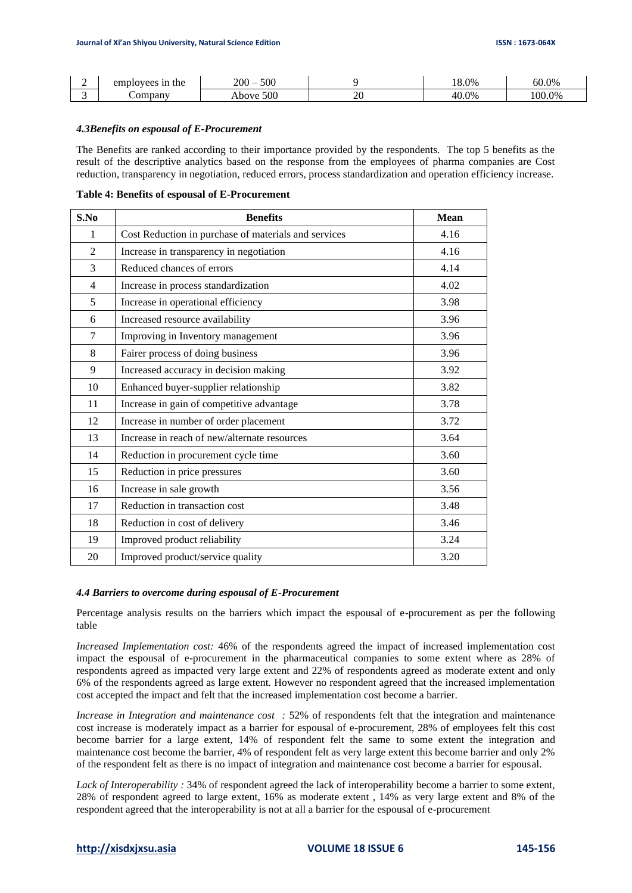| ∸ | employees in the | 500<br>$200-$ |              | 18.0% | 60.0%  |
|---|------------------|---------------|--------------|-------|--------|
|   | ompany           | 500<br>Above  | ∩∩<br>$\sim$ | 40.0% | 100.0% |

#### *4.3Benefits on espousal of E-Procurement*

The Benefits are ranked according to their importance provided by the respondents. The top 5 benefits as the result of the descriptive analytics based on the response from the employees of pharma companies are Cost reduction, transparency in negotiation, reduced errors, process standardization and operation efficiency increase.

|  |  |  | Table 4: Benefits of espousal of E-Procurement |  |  |  |  |
|--|--|--|------------------------------------------------|--|--|--|--|
|--|--|--|------------------------------------------------|--|--|--|--|

| S.No           | <b>Benefits</b>                                      | <b>Mean</b> |
|----------------|------------------------------------------------------|-------------|
| 1              | Cost Reduction in purchase of materials and services | 4.16        |
| $\overline{2}$ | Increase in transparency in negotiation              | 4.16        |
| 3              | Reduced chances of errors                            | 4.14        |
| $\overline{4}$ | Increase in process standardization                  | 4.02        |
| 5              | Increase in operational efficiency                   | 3.98        |
| 6              | Increased resource availability                      | 3.96        |
| 7              | Improving in Inventory management                    | 3.96        |
| 8              | Fairer process of doing business                     | 3.96        |
| 9              | Increased accuracy in decision making                | 3.92        |
| 10             | Enhanced buyer-supplier relationship                 | 3.82        |
| 11             | Increase in gain of competitive advantage            | 3.78        |
| 12             | Increase in number of order placement                | 3.72        |
| 13             | Increase in reach of new/alternate resources         | 3.64        |
| 14             | Reduction in procurement cycle time                  | 3.60        |
| 15             | Reduction in price pressures                         | 3.60        |
| 16             | Increase in sale growth                              | 3.56        |
| 17             | Reduction in transaction cost                        | 3.48        |
| 18             | Reduction in cost of delivery                        | 3.46        |
| 19             | Improved product reliability                         | 3.24        |
| 20             | Improved product/service quality                     | 3.20        |

#### *4.4 Barriers to overcome during espousal of E-Procurement*

Percentage analysis results on the barriers which impact the espousal of e-procurement as per the following table

*Increased Implementation cost:* 46% of the respondents agreed the impact of increased implementation cost impact the espousal of e-procurement in the pharmaceutical companies to some extent where as 28% of respondents agreed as impacted very large extent and 22% of respondents agreed as moderate extent and only 6% of the respondents agreed as large extent. However no respondent agreed that the increased implementation cost accepted the impact and felt that the increased implementation cost become a barrier.

*Increase in Integration and maintenance cost :* 52% of respondents felt that the integration and maintenance cost increase is moderately impact as a barrier for espousal of e-procurement, 28% of employees felt this cost become barrier for a large extent, 14% of respondent felt the same to some extent the integration and maintenance cost become the barrier, 4% of respondent felt as very large extent this become barrier and only 2% of the respondent felt as there is no impact of integration and maintenance cost become a barrier for espousal.

*Lack of Interoperability :* 34% of respondent agreed the lack of interoperability become a barrier to some extent, 28% of respondent agreed to large extent, 16% as moderate extent , 14% as very large extent and 8% of the respondent agreed that the interoperability is not at all a barrier for the espousal of e-procurement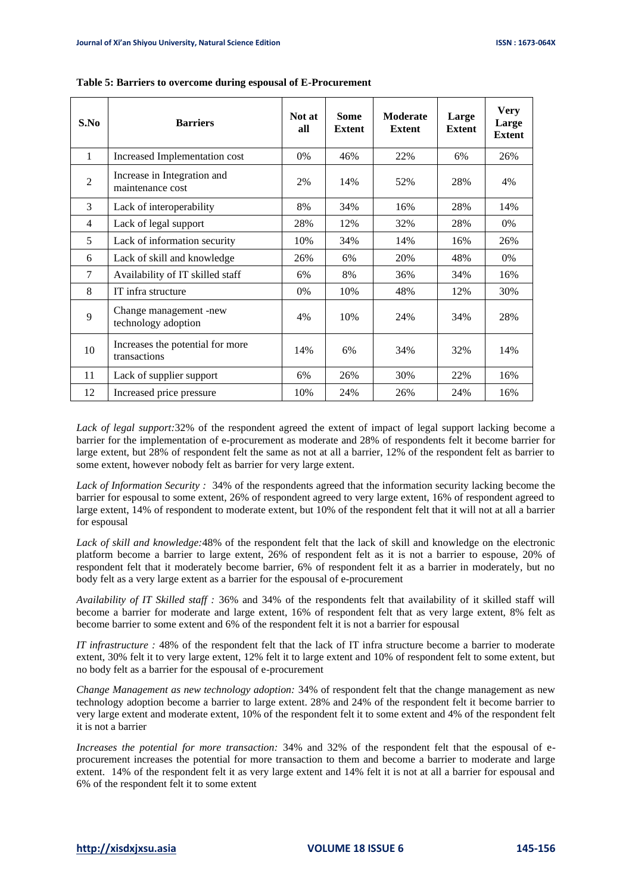| S.No           | <b>Barriers</b>                                  | Not at<br>all | <b>Some</b><br><b>Extent</b> | <b>Moderate</b><br><b>Extent</b> | Large<br><b>Extent</b> | <b>Very</b><br>Large<br><b>Extent</b> |
|----------------|--------------------------------------------------|---------------|------------------------------|----------------------------------|------------------------|---------------------------------------|
| 1              | Increased Implementation cost                    | 0%            | 46%                          | 22%                              | 6%                     | 26%                                   |
| $\mathfrak{D}$ | Increase in Integration and<br>maintenance cost  | 2%            | 14%                          | 52%                              | 28%                    | 4%                                    |
| 3              | Lack of interoperability                         | 8%            | 34%                          | 16%                              | 28%                    | 14%                                   |
| $\overline{4}$ | Lack of legal support                            | 28%           | 12%                          | 32%                              | 28%                    | $0\%$                                 |
| 5              | Lack of information security                     | 10%           | 34%                          | 14%                              | 16%                    | 26%                                   |
| 6              | Lack of skill and knowledge                      | 26%           | 6%                           | 20%                              | 48%                    | 0%                                    |
| $\tau$         | Availability of IT skilled staff                 | 6%            | 8%                           | 36%                              | 34%                    | 16%                                   |
| 8              | IT infra structure                               | 0%            | 10%                          | 48%                              | 12%                    | 30%                                   |
| $\mathbf{Q}$   | Change management -new<br>technology adoption    | 4%            | 10%                          | 24%                              | 34%                    | 28%                                   |
| 10             | Increases the potential for more<br>transactions | 14%           | 6%                           | 34%                              | 32%                    | 14%                                   |
| 11             | Lack of supplier support                         | 6%            | 26%                          | 30%                              | 22%                    | 16%                                   |
| 12             | Increased price pressure                         | 10%           | 24%                          | 26%                              | 24%                    | 16%                                   |

#### **Table 5: Barriers to overcome during espousal of E-Procurement**

*Lack of legal support:*32% of the respondent agreed the extent of impact of legal support lacking become a barrier for the implementation of e-procurement as moderate and 28% of respondents felt it become barrier for large extent, but 28% of respondent felt the same as not at all a barrier, 12% of the respondent felt as barrier to some extent, however nobody felt as barrier for very large extent.

*Lack of Information Security :* 34% of the respondents agreed that the information security lacking become the barrier for espousal to some extent, 26% of respondent agreed to very large extent, 16% of respondent agreed to large extent, 14% of respondent to moderate extent, but 10% of the respondent felt that it will not at all a barrier for espousal

*Lack of skill and knowledge:*48% of the respondent felt that the lack of skill and knowledge on the electronic platform become a barrier to large extent, 26% of respondent felt as it is not a barrier to espouse, 20% of respondent felt that it moderately become barrier, 6% of respondent felt it as a barrier in moderately, but no body felt as a very large extent as a barrier for the espousal of e-procurement

*Availability of IT Skilled staff :* 36% and 34% of the respondents felt that availability of it skilled staff will become a barrier for moderate and large extent, 16% of respondent felt that as very large extent, 8% felt as become barrier to some extent and 6% of the respondent felt it is not a barrier for espousal

*IT infrastructure :* 48% of the respondent felt that the lack of IT infra structure become a barrier to moderate extent, 30% felt it to very large extent, 12% felt it to large extent and 10% of respondent felt to some extent, but no body felt as a barrier for the espousal of e-procurement

*Change Management as new technology adoption:* 34% of respondent felt that the change management as new technology adoption become a barrier to large extent. 28% and 24% of the respondent felt it become barrier to very large extent and moderate extent, 10% of the respondent felt it to some extent and 4% of the respondent felt it is not a barrier

*Increases the potential for more transaction:* 34% and 32% of the respondent felt that the espousal of eprocurement increases the potential for more transaction to them and become a barrier to moderate and large extent. 14% of the respondent felt it as very large extent and 14% felt it is not at all a barrier for espousal and 6% of the respondent felt it to some extent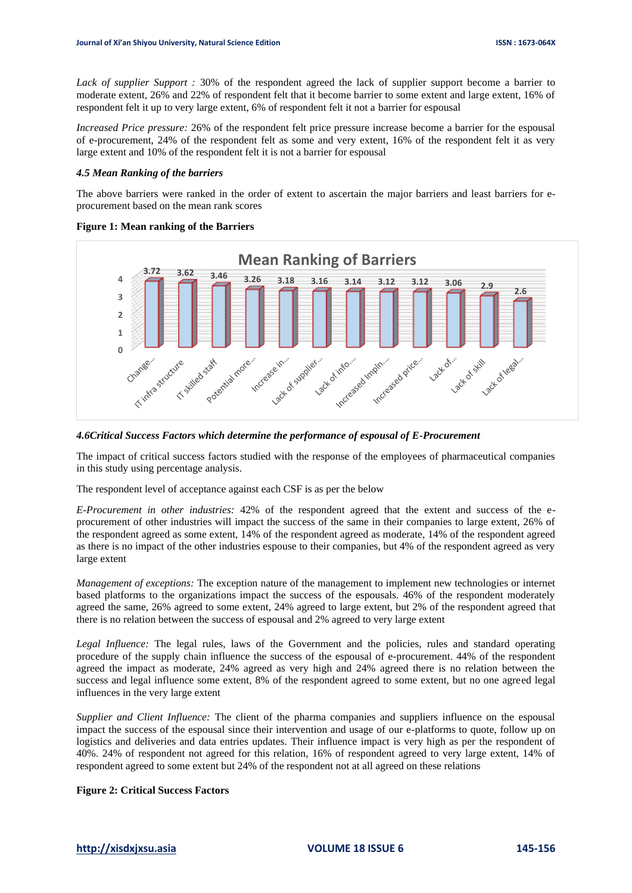*Lack of supplier Support :* 30% of the respondent agreed the lack of supplier support become a barrier to moderate extent, 26% and 22% of respondent felt that it become barrier to some extent and large extent, 16% of respondent felt it up to very large extent, 6% of respondent felt it not a barrier for espousal

*Increased Price pressure:* 26% of the respondent felt price pressure increase become a barrier for the espousal of e-procurement, 24% of the respondent felt as some and very extent, 16% of the respondent felt it as very large extent and 10% of the respondent felt it is not a barrier for espousal

#### *4.5 Mean Ranking of the barriers*

The above barriers were ranked in the order of extent to ascertain the major barriers and least barriers for eprocurement based on the mean rank scores

#### **Figure 1: Mean ranking of the Barriers**



#### *4.6Critical Success Factors which determine the performance of espousal of E-Procurement*

The impact of critical success factors studied with the response of the employees of pharmaceutical companies in this study using percentage analysis.

The respondent level of acceptance against each CSF is as per the below

*E-Procurement in other industries:* 42% of the respondent agreed that the extent and success of the eprocurement of other industries will impact the success of the same in their companies to large extent, 26% of the respondent agreed as some extent, 14% of the respondent agreed as moderate, 14% of the respondent agreed as there is no impact of the other industries espouse to their companies, but 4% of the respondent agreed as very large extent

*Management of exceptions:* The exception nature of the management to implement new technologies or internet based platforms to the organizations impact the success of the espousals. 46% of the respondent moderately agreed the same, 26% agreed to some extent, 24% agreed to large extent, but 2% of the respondent agreed that there is no relation between the success of espousal and 2% agreed to very large extent

*Legal Influence:* The legal rules, laws of the Government and the policies, rules and standard operating procedure of the supply chain influence the success of the espousal of e-procurement. 44% of the respondent agreed the impact as moderate, 24% agreed as very high and 24% agreed there is no relation between the success and legal influence some extent, 8% of the respondent agreed to some extent, but no one agreed legal influences in the very large extent

*Supplier and Client Influence:* The client of the pharma companies and suppliers influence on the espousal impact the success of the espousal since their intervention and usage of our e-platforms to quote, follow up on logistics and deliveries and data entries updates. Their influence impact is very high as per the respondent of 40%. 24% of respondent not agreed for this relation, 16% of respondent agreed to very large extent, 14% of respondent agreed to some extent but 24% of the respondent not at all agreed on these relations

#### **Figure 2: Critical Success Factors**

**[http://xisdxjxsu.asia](http://xisdxjxsu.asia/) VOLUME 18 ISSUE 6 145-156**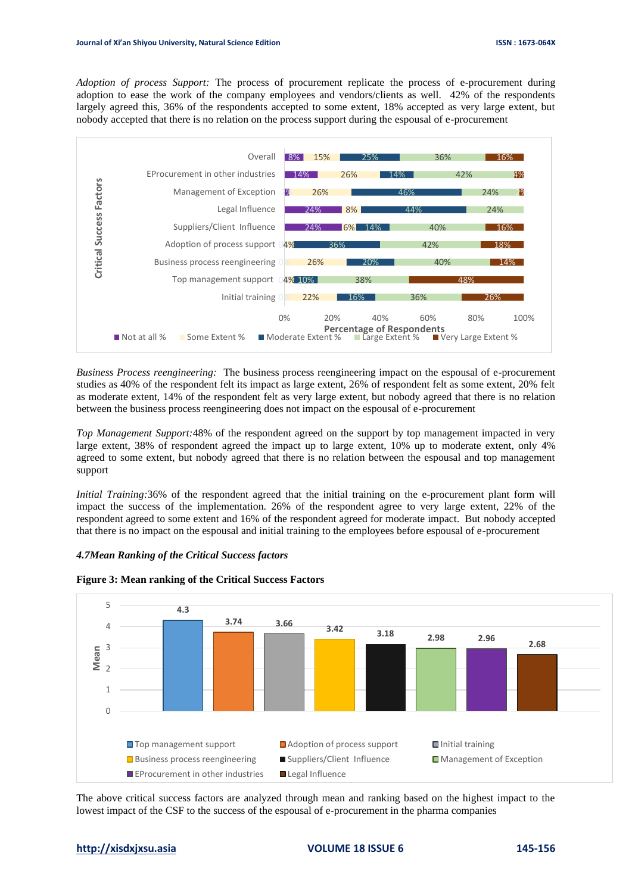*Adoption of process Support:* The process of procurement replicate the process of e-procurement during adoption to ease the work of the company employees and vendors/clients as well. 42% of the respondents largely agreed this, 36% of the respondents accepted to some extent, 18% accepted as very large extent, but nobody accepted that there is no relation on the process support during the espousal of e-procurement



*Business Process reengineering:* The business process reengineering impact on the espousal of e-procurement studies as 40% of the respondent felt its impact as large extent, 26% of respondent felt as some extent, 20% felt as moderate extent, 14% of the respondent felt as very large extent, but nobody agreed that there is no relation between the business process reengineering does not impact on the espousal of e-procurement

*Top Management Support:*48% of the respondent agreed on the support by top management impacted in very large extent, 38% of respondent agreed the impact up to large extent, 10% up to moderate extent, only 4% agreed to some extent, but nobody agreed that there is no relation between the espousal and top management support

*Initial Training:*36% of the respondent agreed that the initial training on the e-procurement plant form will impact the success of the implementation. 26% of the respondent agree to very large extent, 22% of the respondent agreed to some extent and 16% of the respondent agreed for moderate impact. But nobody accepted that there is no impact on the espousal and initial training to the employees before espousal of e-procurement

# *4.7Mean Ranking of the Critical Success factors*



#### **Figure 3: Mean ranking of the Critical Success Factors**

The above critical success factors are analyzed through mean and ranking based on the highest impact to the lowest impact of the CSF to the success of the espousal of e-procurement in the pharma companies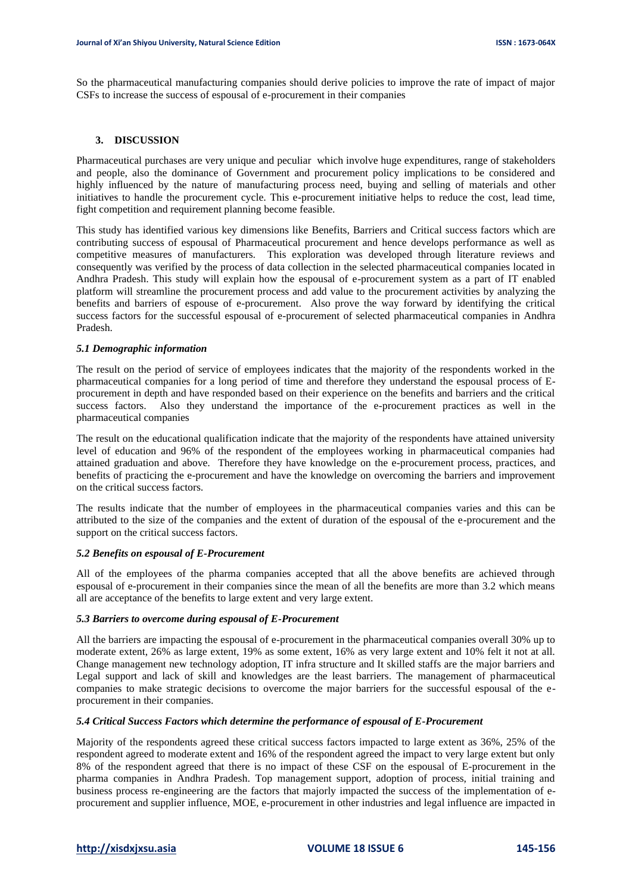So the pharmaceutical manufacturing companies should derive policies to improve the rate of impact of major CSFs to increase the success of espousal of e-procurement in their companies

#### **3. DISCUSSION**

Pharmaceutical purchases are very unique and peculiar which involve huge expenditures, range of stakeholders and people, also the dominance of Government and procurement policy implications to be considered and highly influenced by the nature of manufacturing process need, buying and selling of materials and other initiatives to handle the procurement cycle. This e-procurement initiative helps to reduce the cost, lead time, fight competition and requirement planning become feasible.

This study has identified various key dimensions like Benefits, Barriers and Critical success factors which are contributing success of espousal of Pharmaceutical procurement and hence develops performance as well as competitive measures of manufacturers. This exploration was developed through literature reviews and consequently was verified by the process of data collection in the selected pharmaceutical companies located in Andhra Pradesh. This study will explain how the espousal of e-procurement system as a part of IT enabled platform will streamline the procurement process and add value to the procurement activities by analyzing the benefits and barriers of espouse of e-procurement. Also prove the way forward by identifying the critical success factors for the successful espousal of e-procurement of selected pharmaceutical companies in Andhra Pradesh.

#### *5.1 Demographic information*

The result on the period of service of employees indicates that the majority of the respondents worked in the pharmaceutical companies for a long period of time and therefore they understand the espousal process of Eprocurement in depth and have responded based on their experience on the benefits and barriers and the critical success factors. Also they understand the importance of the e-procurement practices as well in the pharmaceutical companies

The result on the educational qualification indicate that the majority of the respondents have attained university level of education and 96% of the respondent of the employees working in pharmaceutical companies had attained graduation and above. Therefore they have knowledge on the e-procurement process, practices, and benefits of practicing the e-procurement and have the knowledge on overcoming the barriers and improvement on the critical success factors.

The results indicate that the number of employees in the pharmaceutical companies varies and this can be attributed to the size of the companies and the extent of duration of the espousal of the e-procurement and the support on the critical success factors.

#### *5.2 Benefits on espousal of E-Procurement*

All of the employees of the pharma companies accepted that all the above benefits are achieved through espousal of e-procurement in their companies since the mean of all the benefits are more than 3.2 which means all are acceptance of the benefits to large extent and very large extent.

# *5.3 Barriers to overcome during espousal of E-Procurement*

All the barriers are impacting the espousal of e-procurement in the pharmaceutical companies overall 30% up to moderate extent, 26% as large extent, 19% as some extent, 16% as very large extent and 10% felt it not at all. Change management new technology adoption, IT infra structure and It skilled staffs are the major barriers and Legal support and lack of skill and knowledges are the least barriers. The management of pharmaceutical companies to make strategic decisions to overcome the major barriers for the successful espousal of the eprocurement in their companies.

#### *5.4 Critical Success Factors which determine the performance of espousal of E-Procurement*

Majority of the respondents agreed these critical success factors impacted to large extent as 36%, 25% of the respondent agreed to moderate extent and 16% of the respondent agreed the impact to very large extent but only 8% of the respondent agreed that there is no impact of these CSF on the espousal of E-procurement in the pharma companies in Andhra Pradesh. Top management support, adoption of process, initial training and business process re-engineering are the factors that majorly impacted the success of the implementation of eprocurement and supplier influence, MOE, e-procurement in other industries and legal influence are impacted in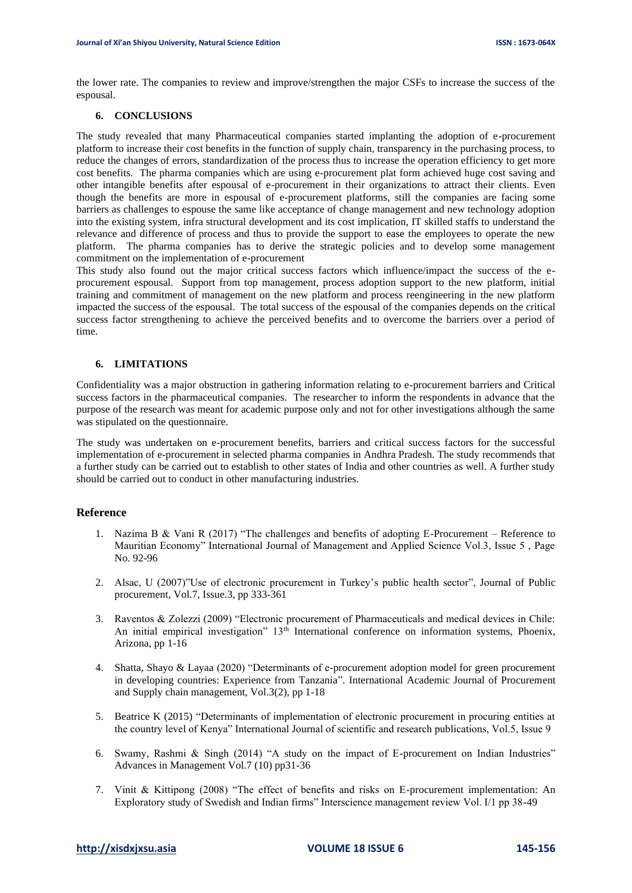the lower rate. The companies to review and improve/strengthen the major CSFs to increase the success of the espousal.

# **6. CONCLUSIONS**

The study revealed that many Pharmaceutical companies started implanting the adoption of e-procurement platform to increase their cost benefits in the function of supply chain, transparency in the purchasing process, to reduce the changes of errors, standardization of the process thus to increase the operation efficiency to get more cost benefits. The pharma companies which are using e-procurement plat form achieved huge cost saving and other intangible benefits after espousal of e-procurement in their organizations to attract their clients. Even though the benefits are more in espousal of e-procurement platforms, still the companies are facing some barriers as challenges to espouse the same like acceptance of change management and new technology adoption into the existing system, infra structural development and its cost implication, IT skilled staffs to understand the relevance and difference of process and thus to provide the support to ease the employees to operate the new platform. The pharma companies has to derive the strategic policies and to develop some management commitment on the implementation of e-procurement

This study also found out the major critical success factors which influence/impact the success of the eprocurement espousal. Support from top management, process adoption support to the new platform, initial training and commitment of management on the new platform and process reengineering in the new platform impacted the success of the espousal. The total success of the espousal of the companies depends on the critical success factor strengthening to achieve the perceived benefits and to overcome the barriers over a period of time.

# **6. LIMITATIONS**

Confidentiality was a major obstruction in gathering information relating to e-procurement barriers and Critical success factors in the pharmaceutical companies. The researcher to inform the respondents in advance that the purpose of the research was meant for academic purpose only and not for other investigations although the same was stipulated on the questionnaire.

The study was undertaken on e-procurement benefits, barriers and critical success factors for the successful implementation of e-procurement in selected pharma companies in Andhra Pradesh. The study recommends that a further study can be carried out to establish to other states of India and other countries as well. A further study should be carried out to conduct in other manufacturing industries.

# **Reference**

- 1. Nazima B & Vani R (2017) "The challenges and benefits of adopting E-Procurement Reference to Mauritian Economy" International Journal of Management and Applied Science Vol.3, Issue 5 , Page No. 92-96
- 2. Alsac, U (2007)"Use of electronic procurement in Turkey's public health sector", Journal of Public procurement, Vol.7, Issue.3, pp 333-361
- 3. Raventos & Zolezzi (2009) "Electronic procurement of Pharmaceuticals and medical devices in Chile: An initial empirical investigation"  $13<sup>th</sup>$  International conference on information systems, Phoenix, Arizona, pp 1-16
- 4. Shatta, Shayo & Layaa (2020) "Determinants of e-procurement adoption model for green procurement in developing countries: Experience from Tanzania". International Academic Journal of Procurement and Supply chain management, Vol.3(2), pp 1-18
- 5. Beatrice K (2015) "Determinants of implementation of electronic procurement in procuring entities at the country level of Kenya" International Journal of scientific and research publications, Vol.5, Issue 9
- 6. Swamy, Rashmi & Singh (2014) "A study on the impact of E-procurement on Indian Industries" Advances in Management Vol.7 (10) pp31-36
- 7. Vinit & Kittipong (2008) "The effect of benefits and risks on E-procurement implementation: An Exploratory study of Swedish and Indian firms" Interscience management review Vol. I/1 pp 38-49